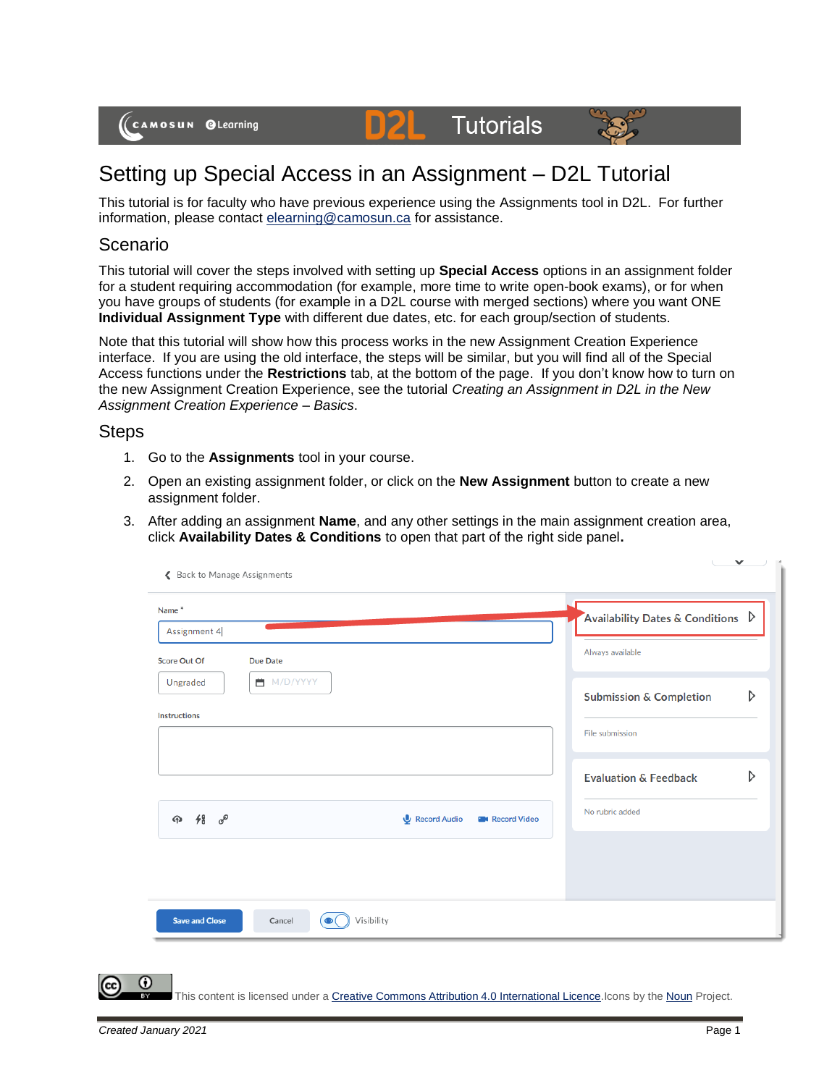## Setting up Special Access in an Assignment – D2L Tutorial

D

This tutorial is for faculty who have previous experience using the Assignments tool in D2L. For further information, please contact [elearning@camosun.ca](mailto:elearning@camosun.ca) for assistance.

**Tutorials** 

## Scenario

This tutorial will cover the steps involved with setting up **Special Access** options in an assignment folder for a student requiring accommodation (for example, more time to write open-book exams), or for when you have groups of students (for example in a D2L course with merged sections) where you want ONE **Individual Assignment Type** with different due dates, etc. for each group/section of students.

Note that this tutorial will show how this process works in the new Assignment Creation Experience interface. If you are using the old interface, the steps will be similar, but you will find all of the Special Access functions under the **Restrictions** tab, at the bottom of the page. If you don't know how to turn on the new Assignment Creation Experience, see the tutorial *Creating an Assignment in D2L in the New Assignment Creation Experience – Basics*.

## Steps

- 1. Go to the **Assignments** tool in your course.
- 2. Open an existing assignment folder, or click on the **New Assignment** button to create a new assignment folder.
- 3. After adding an assignment **Name**, and any other settings in the main assignment creation area, click **Availability Dates & Conditions** to open that part of the right side panel**.**

| Name*                                                                                   |                           |                                       | Availability Dates & Conditions $\triangleright$           |
|-----------------------------------------------------------------------------------------|---------------------------|---------------------------------------|------------------------------------------------------------|
| Assignment 4                                                                            |                           |                                       | Always available                                           |
| <b>Score Out Of</b><br><b>Due Date</b><br>■ M/D/YYYY<br>Ungraded<br><b>Instructions</b> |                           |                                       | D<br><b>Submission &amp; Completion</b><br>File submission |
|                                                                                         |                           |                                       | D<br><b>Evaluation &amp; Feedback</b>                      |
| <b>4</b> 48 8                                                                           |                           | Record Audio<br><b>B</b> Record Video | No rubric added                                            |
| <b>Save and Close</b><br>Cancel                                                         | Visibility<br>$\bullet$ ( |                                       |                                                            |

This content is licensed under a [Creative Commons Attribution 4.0 International Licence.I](https://creativecommons.org/licenses/by/4.0/)cons by the [Noun](https://creativecommons.org/website-icons/) Project.

O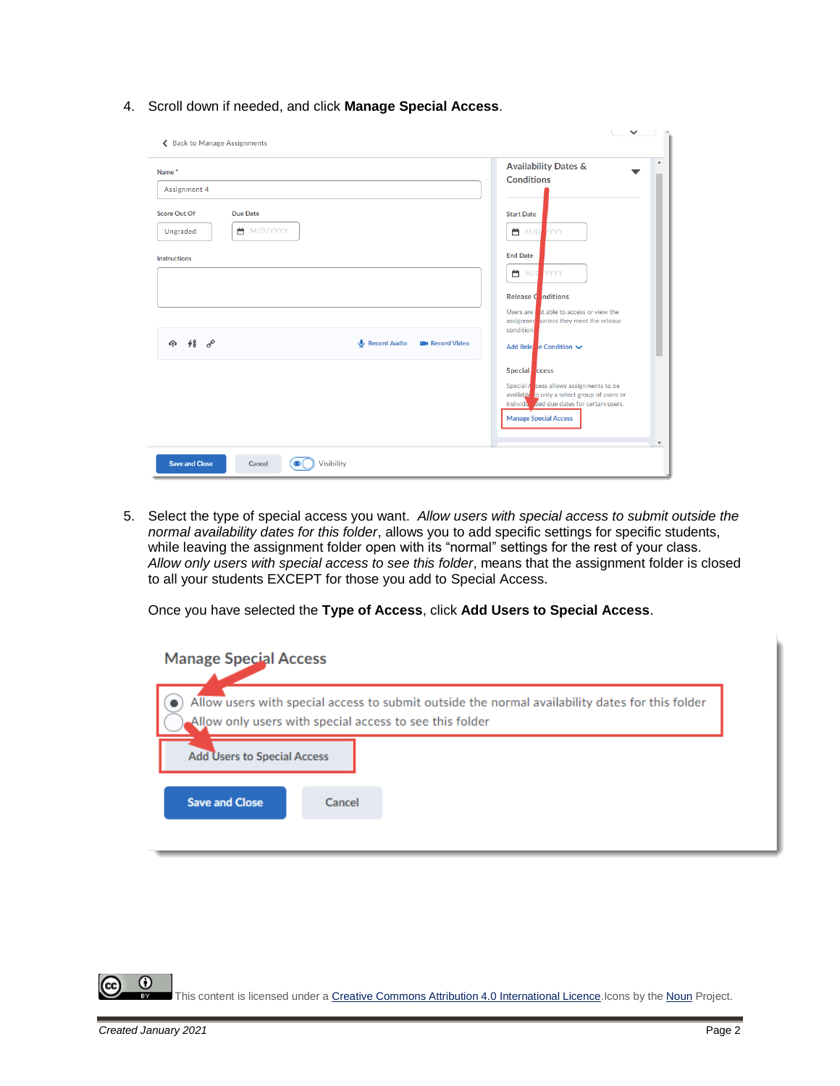4. Scroll down if needed, and click **Manage Special Access**.

| Name <sup>*</sup>                      |                                         | $\mathcal{A}$<br><b>Availability Dates &amp;</b><br><b>Conditions</b>                                                                                     |
|----------------------------------------|-----------------------------------------|-----------------------------------------------------------------------------------------------------------------------------------------------------------|
| Assignment 4                           |                                         |                                                                                                                                                           |
| <b>Score Out Of</b><br><b>Due Date</b> |                                         | <b>Start Date</b>                                                                                                                                         |
| ■ M/D/YYYY<br>Ungraded                 |                                         | ■ M/D<br><b>YYYY</b>                                                                                                                                      |
| <b>Instructions</b>                    |                                         | <b>End Date</b>                                                                                                                                           |
|                                        |                                         | YYYY<br><b>首</b> M/D                                                                                                                                      |
|                                        |                                         | Release Conditions                                                                                                                                        |
|                                        |                                         | Users are that able to access or view the<br>assignmer unless they meet the release<br>conditions                                                         |
| $48\degree$<br>क़                      | Record Audio<br><b>B</b> u Record Video | Add Rele e Condition ↓                                                                                                                                    |
|                                        |                                         | Special ccess                                                                                                                                             |
|                                        |                                         | Special $\sqrt{\frac{1}{2}}$ cess allows assignments to be<br>available to only a select group of users or<br>individual zed due dates for certain users. |
|                                        |                                         | <b>Manage Special Access</b>                                                                                                                              |
|                                        |                                         |                                                                                                                                                           |

5. Select the type of special access you want. *Allow users with special access to submit outside the normal availability dates for this folder*, allows you to add specific settings for specific students, while leaving the assignment folder open with its "normal" settings for the rest of your class. *Allow only users with special access to see this folder*, means that the assignment folder is closed to all your students EXCEPT for those you add to Special Access.

Once you have selected the **Type of Access**, click **Add Users to Special Access**.

| <b>Manage Special Access</b>       |                                                                                                                                                            |
|------------------------------------|------------------------------------------------------------------------------------------------------------------------------------------------------------|
|                                    | Allow users with special access to submit outside the normal availability dates for this folder<br>Allow only users with special access to see this folder |
| <b>Add Users to Special Access</b> |                                                                                                                                                            |
| <b>Save and Close</b>              | Cancel                                                                                                                                                     |
|                                    |                                                                                                                                                            |

⋒ This content is licensed under a **Creative Commons Attribution 4.0 International Licence**.Icons by the **Noun** Project.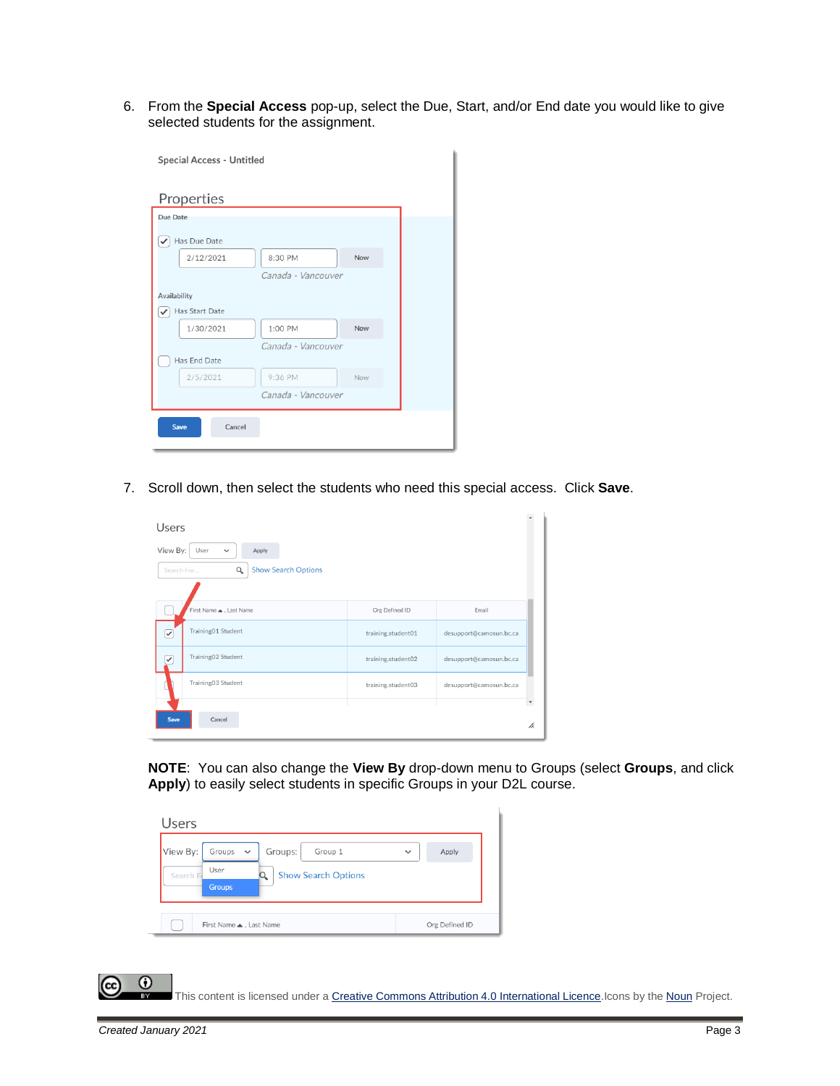6. From the **Special Access** pop-up, select the Due, Start, and/or End date you would like to give selected students for the assignment.

| Special Access - Untitled |                    |     |  |
|---------------------------|--------------------|-----|--|
| Properties                |                    |     |  |
| Due Date                  |                    |     |  |
| Has Due Date<br>✓         |                    |     |  |
| 2/12/2021                 | 8:30 PM            | Now |  |
|                           | Canada - Vancouver |     |  |
| Availability              |                    |     |  |
| Has Start Date            |                    |     |  |
| 1/30/2021                 | 1:00 PM            | Now |  |
|                           | Canada - Vancouver |     |  |
| Has End Date              |                    |     |  |
| 2/5/2021                  | 9:36 PM            | Now |  |
|                           | Canada - Vancouver |     |  |
| <b>Save</b><br>Cancel     |                    |     |  |

7. Scroll down, then select the students who need this special access. Click **Save**.

| Users                                                                                             |                    |                         |                             |
|---------------------------------------------------------------------------------------------------|--------------------|-------------------------|-----------------------------|
| View By:<br>User<br>Apply<br>$\checkmark$<br>$\alpha$<br><b>Show Search Options</b><br>Search For |                    |                         |                             |
| First Name . Last Name                                                                            | Org Defined ID     | Email                   |                             |
| Training01 Student<br>✓                                                                           | training.student01 | desupport@camosun.bc.ca |                             |
| Training02 Student<br>✓                                                                           | training.student02 | desupport@camosun.bc.ca |                             |
| Training03 Student                                                                                | training.student03 | desupport@camosun.bc.ca |                             |
| Cancel<br>Save                                                                                    |                    |                         | $\check{\phantom{a}}$<br>h. |

**NOTE**: You can also change the **View By** drop-down menu to Groups (select **Groups**, and click **Apply**) to easily select students in specific Groups in your D2L course.

| Users                                                                                                                              |                       |
|------------------------------------------------------------------------------------------------------------------------------------|-----------------------|
| View By:<br>Groups<br>Groups:<br>Group 1<br>$\checkmark$<br><b>User</b><br><b>Show Search Options</b><br>Search F<br><b>Groups</b> | Apply<br>$\checkmark$ |
| First Name . Last Name                                                                                                             | Org Defined ID        |

This content is licensed under a [Creative Commons Attribution 4.0 International Licence.I](https://creativecommons.org/licenses/by/4.0/)cons by the [Noun](https://creativecommons.org/website-icons/) Project.

 $\odot$